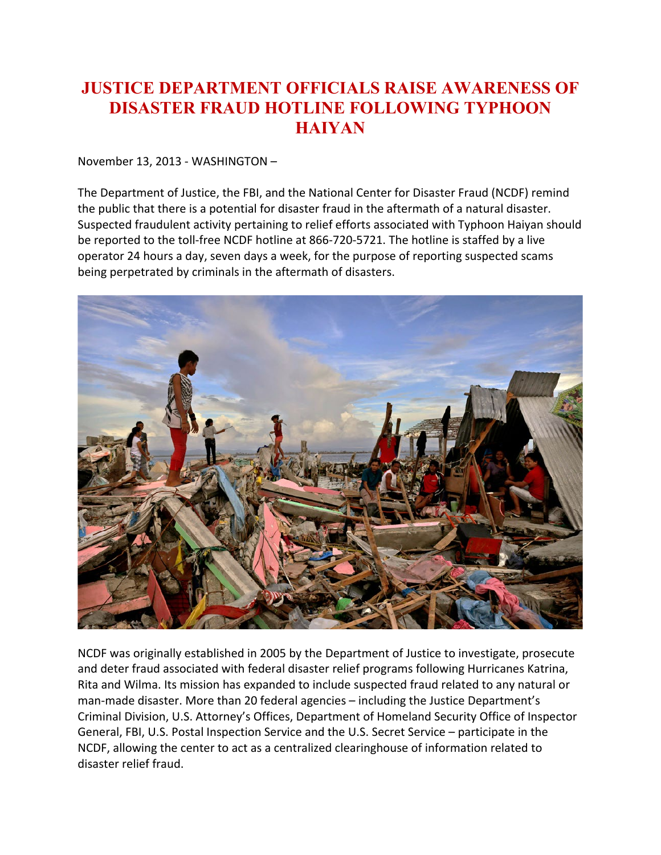## **JUSTICE DEPARTMENT OFFICIALS RAISE AWARENESS OF DISASTER FRAUD HOTLINE FOLLOWING TYPHOON HAIYAN**

November 13, 2013 - WASHINGTON –

The Department of Justice, the FBI, and the National Center for Disaster Fraud (NCDF) remind the public that there is a potential for disaster fraud in the aftermath of a natural disaster. Suspected fraudulent activity pertaining to relief efforts associated with Typhoon Haiyan should be reported to the toll-free NCDF hotline at 866-720-5721. The hotline is staffed by a live operator 24 hours a day, seven days a week, for the purpose of reporting suspected scams being perpetrated by criminals in the aftermath of disasters.



NCDF was originally established in 2005 by the Department of Justice to investigate, prosecute and deter fraud associated with federal disaster relief programs following Hurricanes Katrina, Rita and Wilma. Its mission has expanded to include suspected fraud related to any natural or man-made disaster. More than 20 federal agencies – including the Justice Department's Criminal Division, U.S. Attorney's Offices, Department of Homeland Security Office of Inspector General, FBI, U.S. Postal Inspection Service and the U.S. Secret Service – participate in the NCDF, allowing the center to act as a centralized clearinghouse of information related to disaster relief fraud.